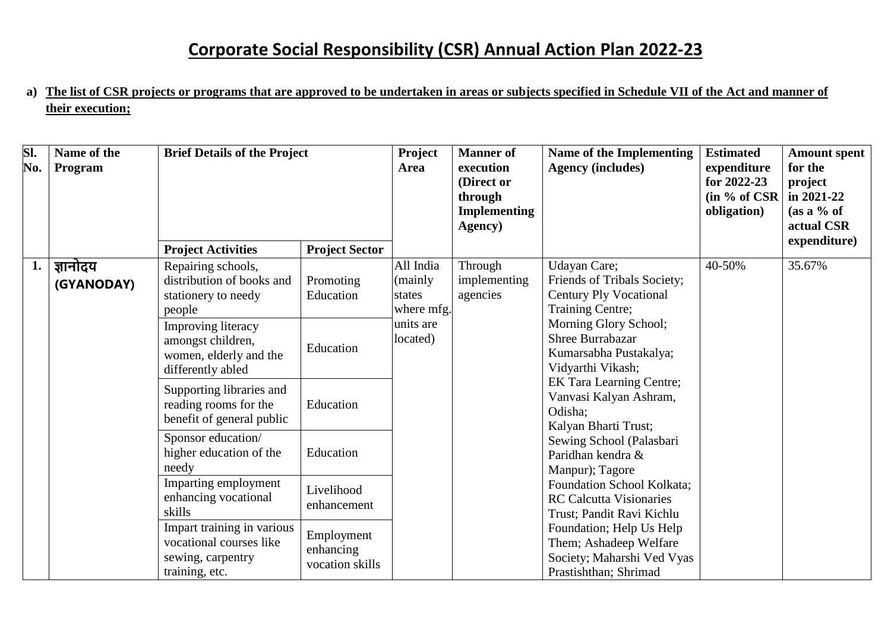**a) The list of CSR projects or programs that are approved to be undertaken in areas or subjects specified in Schedule VII of the Act and manner of their execution;**

| SI.<br>No. | Name of the<br>Program | <b>Brief Details of the Project</b>                                                           |                                            | <b>Project</b><br><b>Manner</b> of<br>execution<br><b>Area</b><br>(Direct or<br>through<br><b>Implementing</b><br>Agency) | <b>Name of the Implementing</b><br><b>Agency (includes)</b> | <b>Estimated</b><br>expenditure<br>for 2022-23<br>(in % of <b>CSR</b> )<br>obligation)                                                                                                                                                                                              | <b>Amount spent</b><br>for the<br>project<br>in $2021 - 22$<br>$(as a \% of$<br>actual CSR<br>expenditure) |        |
|------------|------------------------|-----------------------------------------------------------------------------------------------|--------------------------------------------|---------------------------------------------------------------------------------------------------------------------------|-------------------------------------------------------------|-------------------------------------------------------------------------------------------------------------------------------------------------------------------------------------------------------------------------------------------------------------------------------------|------------------------------------------------------------------------------------------------------------|--------|
|            |                        | <b>Project Activities</b>                                                                     | <b>Project Sector</b>                      | All India                                                                                                                 |                                                             | <b>Udayan Care</b> ;                                                                                                                                                                                                                                                                | 40-50%                                                                                                     | 35.67% |
| 1.         | ज्ञानोदय<br>(GYANODAY) | Repairing schools,<br>distribution of books and<br>stationery to needy<br>people              | Promoting<br>Education                     | (mainly<br>states<br>where mfg.<br>units are<br>located)                                                                  | Through<br>implementing<br>agencies                         | Friends of Tribals Society;<br><b>Century Ply Vocational</b><br>Training Centre;<br>Morning Glory School;<br><b>Shree Burrabazar</b><br>Kumarsabha Pustakalya;<br>Vidyarthi Vikash;<br><b>EK Tara Learning Centre;</b><br>Vanvasi Kalyan Ashram,<br>Odisha:<br>Kalyan Bharti Trust; |                                                                                                            |        |
|            |                        | <b>Improving literacy</b><br>amongst children,<br>women, elderly and the<br>differently abled | Education                                  |                                                                                                                           |                                                             |                                                                                                                                                                                                                                                                                     |                                                                                                            |        |
|            |                        | Supporting libraries and<br>reading rooms for the<br>benefit of general public                | Education                                  |                                                                                                                           |                                                             |                                                                                                                                                                                                                                                                                     |                                                                                                            |        |
|            |                        | Sponsor education/<br>higher education of the<br>needy                                        | Education                                  |                                                                                                                           |                                                             | Sewing School (Palasbari<br>Paridhan kendra &<br>Manpur); Tagore                                                                                                                                                                                                                    |                                                                                                            |        |
|            |                        | Imparting employment<br>enhancing vocational<br>skills                                        | Livelihood<br>enhancement                  |                                                                                                                           |                                                             | Foundation School Kolkata;<br><b>RC Calcutta Visionaries</b><br>Trust; Pandit Ravi Kichlu                                                                                                                                                                                           |                                                                                                            |        |
|            |                        | Impart training in various<br>vocational courses like<br>sewing, carpentry<br>training, etc.  | Employment<br>enhancing<br>vocation skills |                                                                                                                           |                                                             | Foundation; Help Us Help<br>Them; Ashadeep Welfare<br>Society; Maharshi Ved Vyas<br>Prastishthan; Shrimad                                                                                                                                                                           |                                                                                                            |        |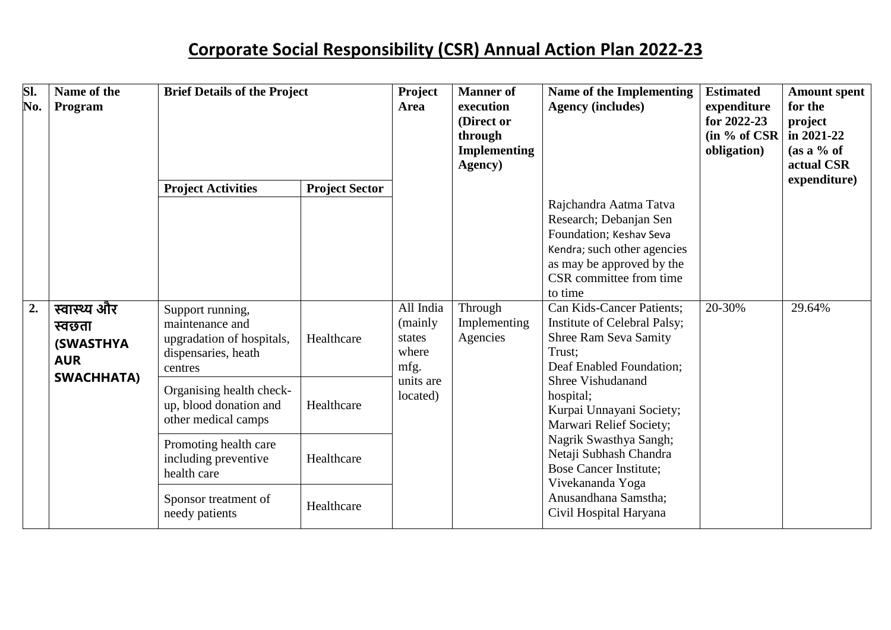| SI.<br>No.       | Name of the<br>Program                                                         | <b>Brief Details of the Project</b>                                                                |                       | Project<br><b>Manner</b> of<br>execution<br><b>Area</b><br>(Direct or<br>through<br><b>Implementing</b><br>Agency) | <b>Name of the Implementing</b><br><b>Agency (includes)</b> | <b>Estimated</b><br>expenditure<br>for $2022 - 23$<br>(in % of <b>CSR</b> )<br>obligation)                                                                                                                                                                                                                                                                                                        | <b>Amount spent</b><br>for the<br>project<br>in $2021 - 22$<br>$(as a \% of$<br>actual CSR |              |
|------------------|--------------------------------------------------------------------------------|----------------------------------------------------------------------------------------------------|-----------------------|--------------------------------------------------------------------------------------------------------------------|-------------------------------------------------------------|---------------------------------------------------------------------------------------------------------------------------------------------------------------------------------------------------------------------------------------------------------------------------------------------------------------------------------------------------------------------------------------------------|--------------------------------------------------------------------------------------------|--------------|
|                  |                                                                                | <b>Project Activities</b>                                                                          | <b>Project Sector</b> |                                                                                                                    |                                                             |                                                                                                                                                                                                                                                                                                                                                                                                   |                                                                                            | expenditure) |
|                  |                                                                                |                                                                                                    |                       |                                                                                                                    |                                                             | Rajchandra Aatma Tatva<br>Research; Debanjan Sen<br>Foundation; Keshav Seva<br>Kendra; such other agencies<br>as may be approved by the<br>CSR committee from time<br>to time                                                                                                                                                                                                                     |                                                                                            |              |
| $\overline{2}$ . | स्वास्थ्य और<br>स्वछता<br><b>(SWASTHYA)</b><br><b>AUR</b><br><b>SWACHHATA)</b> | Support running,<br>maintenance and<br>upgradation of hospitals,<br>dispensaries, heath<br>centres | Healthcare            | All India<br>(mainly<br>states<br>where<br>mfg.<br>units are<br>located)                                           | Through<br>Implementing<br>Agencies                         | <b>Can Kids-Cancer Patients;</b><br>Institute of Celebral Palsy;<br><b>Shree Ram Seva Samity</b><br>Trust:<br>Deaf Enabled Foundation;<br><b>Shree Vishudanand</b><br>hospital;<br>Kurpai Unnayani Society;<br>Marwari Relief Society;<br>Nagrik Swasthya Sangh;<br>Netaji Subhash Chandra<br><b>Bose Cancer Institute;</b><br>Vivekananda Yoga<br>Anusandhana Samstha;<br>Civil Hospital Haryana | 20-30%                                                                                     | 29.64%       |
|                  |                                                                                | Organising health check-<br>up, blood donation and<br>other medical camps                          | Healthcare            |                                                                                                                    |                                                             |                                                                                                                                                                                                                                                                                                                                                                                                   |                                                                                            |              |
|                  |                                                                                | Promoting health care<br>including preventive<br>health care                                       | Healthcare            |                                                                                                                    |                                                             |                                                                                                                                                                                                                                                                                                                                                                                                   |                                                                                            |              |
|                  |                                                                                | Sponsor treatment of<br>needy patients                                                             | Healthcare            |                                                                                                                    |                                                             |                                                                                                                                                                                                                                                                                                                                                                                                   |                                                                                            |              |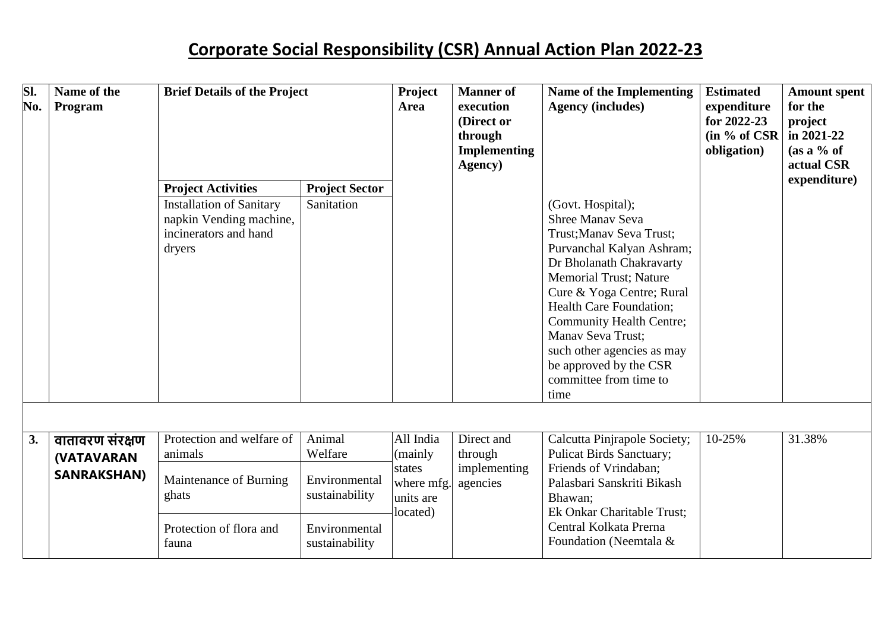| SI.<br>No. | Name of the<br>Program | <b>Brief Details of the Project</b>                                                           |                                 | Project<br>execution<br>Area<br>through<br>Agency)       | <b>Manner</b> of<br>(Direct or<br><b>Implementing</b> | Name of the Implementing<br><b>Agency (includes)</b>                                                                                                                                                                                                                                                                                                                                        | <b>Estimated</b><br>expenditure<br>for 2022-23<br>$(in % of CSR)$<br>obligation) | <b>Amount spent</b><br>for the<br>project<br>in 2021-22<br>(as a % of<br>actual CSR |
|------------|------------------------|-----------------------------------------------------------------------------------------------|---------------------------------|----------------------------------------------------------|-------------------------------------------------------|---------------------------------------------------------------------------------------------------------------------------------------------------------------------------------------------------------------------------------------------------------------------------------------------------------------------------------------------------------------------------------------------|----------------------------------------------------------------------------------|-------------------------------------------------------------------------------------|
|            |                        | <b>Project Activities</b>                                                                     | <b>Project Sector</b>           |                                                          |                                                       |                                                                                                                                                                                                                                                                                                                                                                                             |                                                                                  | expenditure)                                                                        |
|            |                        | <b>Installation of Sanitary</b><br>napkin Vending machine,<br>incinerators and hand<br>dryers | Sanitation                      |                                                          |                                                       | (Govt. Hospital);<br><b>Shree Manav Seva</b><br>Trust; Manav Seva Trust;<br>Purvanchal Kalyan Ashram;<br>Dr Bholanath Chakravarty<br><b>Memorial Trust</b> ; Nature<br>Cure & Yoga Centre; Rural<br><b>Health Care Foundation;</b><br><b>Community Health Centre;</b><br><b>Manav Seva Trust;</b><br>such other agencies as may<br>be approved by the CSR<br>committee from time to<br>time |                                                                                  |                                                                                     |
|            |                        |                                                                                               |                                 |                                                          |                                                       |                                                                                                                                                                                                                                                                                                                                                                                             |                                                                                  |                                                                                     |
| 3.         | वातावरण संरक्षण        | Protection and welfare of                                                                     | Animal                          | All India                                                | Direct and                                            | Calcutta Pinjrapole Society;                                                                                                                                                                                                                                                                                                                                                                | 10-25%                                                                           | 31.38%                                                                              |
|            | <b>(VATAVARAN</b>      | animals                                                                                       | Welfare                         | (mainly<br>states<br>where mfg.<br>units are<br>located) | through<br>implementing                               | <b>Pulicat Birds Sanctuary;</b><br>Friends of Vrindaban;                                                                                                                                                                                                                                                                                                                                    |                                                                                  |                                                                                     |
|            | <b>SANRAKSHAN)</b>     | Maintenance of Burning<br>ghats                                                               | Environmental<br>sustainability |                                                          | agencies                                              | Palasbari Sanskriti Bikash<br>Bhawan;<br>Ek Onkar Charitable Trust;                                                                                                                                                                                                                                                                                                                         |                                                                                  |                                                                                     |
|            |                        | Protection of flora and<br>fauna                                                              | Environmental<br>sustainability |                                                          |                                                       | Central Kolkata Prerna<br>Foundation (Neemtala &                                                                                                                                                                                                                                                                                                                                            |                                                                                  |                                                                                     |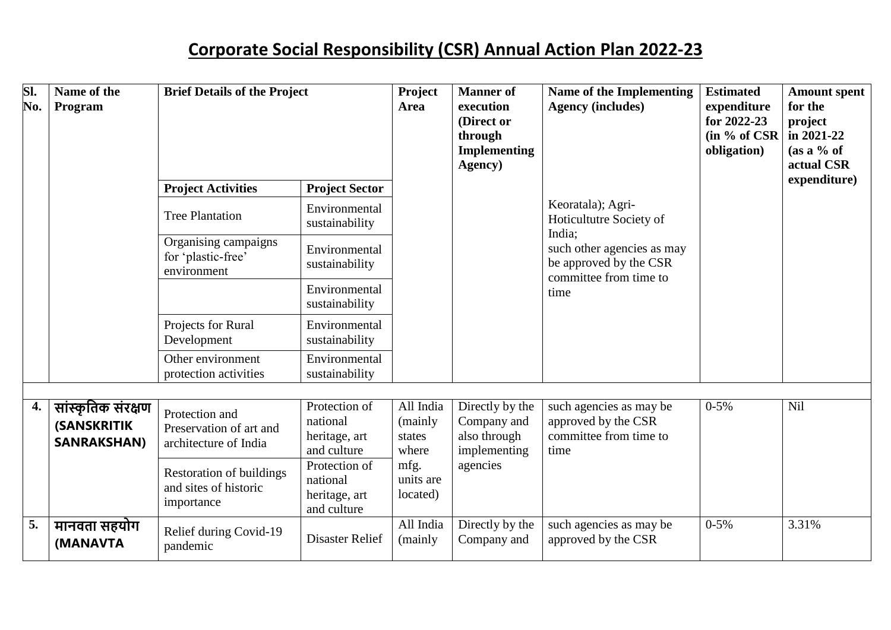| SI.<br>No. | Name of the<br>Program                                          | <b>Brief Details of the Project</b>                                    |                                                           | Project<br><b>Manner</b> of<br>execution<br>Area<br>(Direct or<br>through<br><b>Implementing</b><br>Agency) | Name of the Implementing<br><b>Agency (includes)</b>                       | <b>Estimated</b><br>expenditure<br>for 2022-23<br>$(in % of CSR)$<br>obligation)                                                                 | <b>Amount spent</b><br>for the<br>project<br>in 2021-22<br>$(as a \% of$<br>actual CSR |              |
|------------|-----------------------------------------------------------------|------------------------------------------------------------------------|-----------------------------------------------------------|-------------------------------------------------------------------------------------------------------------|----------------------------------------------------------------------------|--------------------------------------------------------------------------------------------------------------------------------------------------|----------------------------------------------------------------------------------------|--------------|
|            |                                                                 | <b>Project Activities</b>                                              | <b>Project Sector</b>                                     |                                                                                                             |                                                                            | Keoratala); Agri-<br>Hoticultutre Society of<br>India;<br>such other agencies as may<br>be approved by the CSR<br>committee from time to<br>time |                                                                                        | expenditure) |
|            |                                                                 | <b>Tree Plantation</b>                                                 | Environmental<br>sustainability                           |                                                                                                             |                                                                            |                                                                                                                                                  |                                                                                        |              |
|            |                                                                 | Organising campaigns<br>for 'plastic-free'<br>environment              | Environmental<br>sustainability                           |                                                                                                             |                                                                            |                                                                                                                                                  |                                                                                        |              |
|            |                                                                 |                                                                        | Environmental<br>sustainability                           |                                                                                                             |                                                                            |                                                                                                                                                  |                                                                                        |              |
|            |                                                                 | Projects for Rural<br>Development                                      | Environmental<br>sustainability                           |                                                                                                             |                                                                            |                                                                                                                                                  |                                                                                        |              |
|            |                                                                 | Other environment<br>protection activities                             | Environmental<br>sustainability                           |                                                                                                             |                                                                            |                                                                                                                                                  |                                                                                        |              |
| 4.         | सांस्कृतिक संरक्षण<br><b>(SANSKRITIK)</b><br><b>SANRAKSHAN)</b> | Protection and<br>Preservation of art and<br>architecture of India     | Protection of<br>national<br>heritage, art<br>and culture | All India<br>(mainly<br>states<br>where<br>mfg.<br>units are<br>located)                                    | Directly by the<br>Company and<br>also through<br>implementing<br>agencies | such agencies as may be<br>approved by the CSR<br>committee from time to<br>time                                                                 | $0 - 5\%$                                                                              | <b>Nil</b>   |
|            |                                                                 | <b>Restoration of buildings</b><br>and sites of historic<br>importance | Protection of<br>national<br>heritage, art<br>and culture |                                                                                                             |                                                                            |                                                                                                                                                  |                                                                                        |              |
| 5.         | मानवता सहयोग<br>(MANAVTA                                        | Relief during Covid-19<br>pandemic                                     | <b>Disaster Relief</b>                                    | All India<br>(mainly                                                                                        | Directly by the<br>Company and                                             | such agencies as may be<br>approved by the CSR                                                                                                   | $0 - 5%$                                                                               | 3.31%        |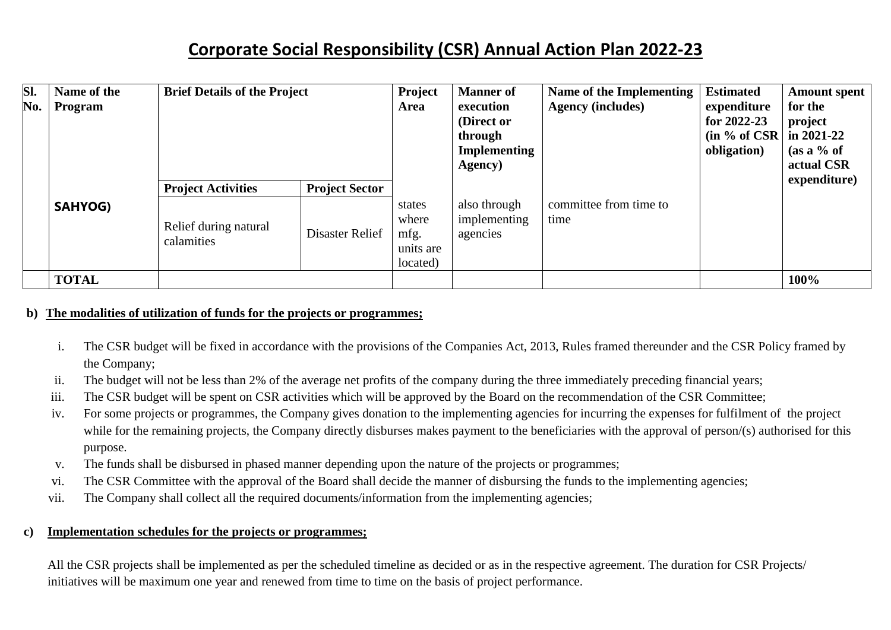| SI.<br>No. | Name of the<br>Program | <b>Brief Details of the Project</b> |                       | Project<br>Area                                  | <b>Manner</b> of<br>execution<br>(Direct or<br>through<br><b>Implementing</b><br>Agency) | Name of the Implementing<br><b>Agency (includes)</b> | <b>Estimated</b><br>expenditure<br>for 2022-23<br>(in % of CSR)<br>obligation) | <b>Amount spent</b><br>for the<br>project<br>in $2021 - 22$<br>$(as a \% of$<br>actual CSR |
|------------|------------------------|-------------------------------------|-----------------------|--------------------------------------------------|------------------------------------------------------------------------------------------|------------------------------------------------------|--------------------------------------------------------------------------------|--------------------------------------------------------------------------------------------|
|            |                        | <b>Project Activities</b>           | <b>Project Sector</b> |                                                  |                                                                                          |                                                      |                                                                                | expenditure)                                                                               |
|            | <b>SAHYOG)</b>         | Relief during natural<br>calamities | Disaster Relief       | states<br>where<br>mfg.<br>units are<br>located) | also through<br>implementing<br>agencies                                                 | committee from time to<br>time                       |                                                                                |                                                                                            |
|            | <b>TOTAL</b>           |                                     |                       |                                                  |                                                                                          |                                                      |                                                                                | 100%                                                                                       |

### **b) The modalities of utilization of funds for the projects or programmes;**

- i. The CSR budget will be fixed in accordance with the provisions of the Companies Act, 2013, Rules framed thereunder and the CSR Policy framed by the Company;
- ii. The budget will not be less than 2% of the average net profits of the company during the three immediately preceding financial years;
- iii. The CSR budget will be spent on CSR activities which will be approved by the Board on the recommendation of the CSR Committee;
- iv. For some projects or programmes, the Company gives donation to the implementing agencies for incurring the expenses for fulfilment of the project while for the remaining projects, the Company directly disburses makes payment to the beneficiaries with the approval of person/(s) authorised for this purpose.
- v. The funds shall be disbursed in phased manner depending upon the nature of the projects or programmes;
- vi. The CSR Committee with the approval of the Board shall decide the manner of disbursing the funds to the implementing agencies;
- vii. The Company shall collect all the required documents/information from the implementing agencies;

### **c) Implementation schedules for the projects or programmes;**

All the CSR projects shall be implemented as per the scheduled timeline as decided or as in the respective agreement. The duration for CSR Projects/ initiatives will be maximum one year and renewed from time to time on the basis of project performance.